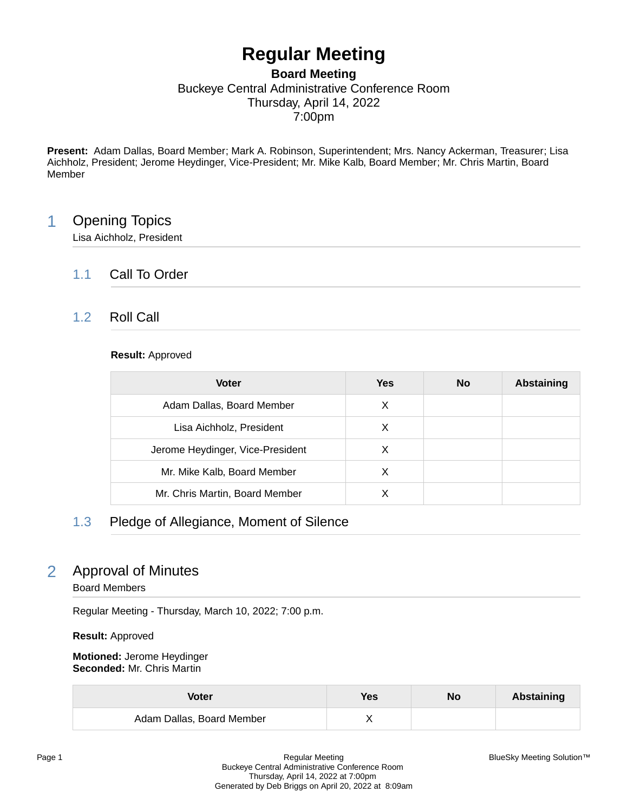# **Regular Meeting**

### **Board Meeting** Buckeye Central Administrative Conference Room Thursday, April 14, 2022 7:00pm

**Present:** Adam Dallas, Board Member; Mark A. Robinson, Superintendent; Mrs. Nancy Ackerman, Treasurer; Lisa Aichholz, President; Jerome Heydinger, Vice-President; Mr. Mike Kalb, Board Member; Mr. Chris Martin, Board Member

### 1 Opening Topics

Lisa Aichholz, President

### 1.1 Call To Order

### 1.2 Roll Call

### **Result:** Approved

| <b>Voter</b>                     | Yes | <b>No</b> | <b>Abstaining</b> |
|----------------------------------|-----|-----------|-------------------|
| Adam Dallas, Board Member        | X   |           |                   |
| Lisa Aichholz, President         | X   |           |                   |
| Jerome Heydinger, Vice-President | X   |           |                   |
| Mr. Mike Kalb, Board Member      | X   |           |                   |
| Mr. Chris Martin, Board Member   |     |           |                   |

### 1.3 Pledge of Allegiance, Moment of Silence

# 2 Approval of Minutes

Board Members

Regular Meeting - Thursday, March 10, 2022; 7:00 p.m.

**Result:** Approved

**Motioned:** Jerome Heydinger **Seconded:** Mr. Chris Martin

| Voter                     | <b>Yes</b> | No | Abstaining |
|---------------------------|------------|----|------------|
| Adam Dallas, Board Member |            |    |            |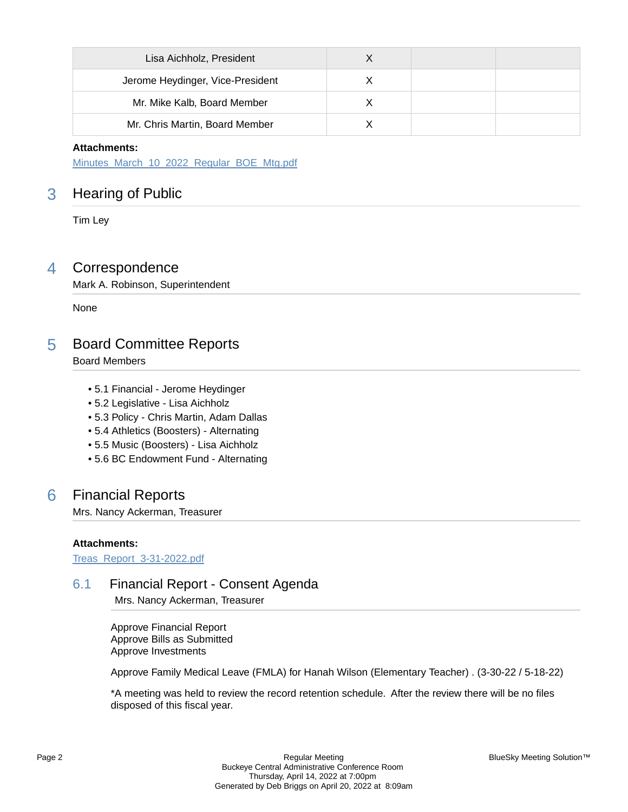| Lisa Aichholz, President         |  |  |
|----------------------------------|--|--|
| Jerome Heydinger, Vice-President |  |  |
| Mr. Mike Kalb, Board Member      |  |  |
| Mr. Chris Martin, Board Member   |  |  |

#### **Attachments:**

[Minutes\\_March\\_10\\_2022\\_Regular\\_BOE\\_Mtg.pdf](https://bcbucks.blueskymeeting.com/meeting_groups/32/item_attachments/65600)

### 3 Hearing of Public

Tim Ley

### 4 Correspondence

Mark A. Robinson, Superintendent

None

### 5 Board Committee Reports

Board Members

- 5.1 Financial Jerome Heydinger
- 5.2 Legislative Lisa Aichholz
- 5.3 Policy Chris Martin, Adam Dallas
- 5.4 Athletics (Boosters) Alternating
- 5.5 Music (Boosters) Lisa Aichholz
- 5.6 BC Endowment Fund Alternating

### 6 Financial Reports

Mrs. Nancy Ackerman, Treasurer

#### **Attachments:**

[Treas\\_Report\\_3-31-2022.pdf](https://bcbucks.blueskymeeting.com/meeting_groups/32/item_attachments/66016)

### 6.1 Financial Report - Consent Agenda

Mrs. Nancy Ackerman, Treasurer

Approve Financial Report Approve Bills as Submitted Approve Investments

Approve Family Medical Leave (FMLA) for Hanah Wilson (Elementary Teacher) . (3-30-22 / 5-18-22)

\*A meeting was held to review the record retention schedule. After the review there will be no files disposed of this fiscal year.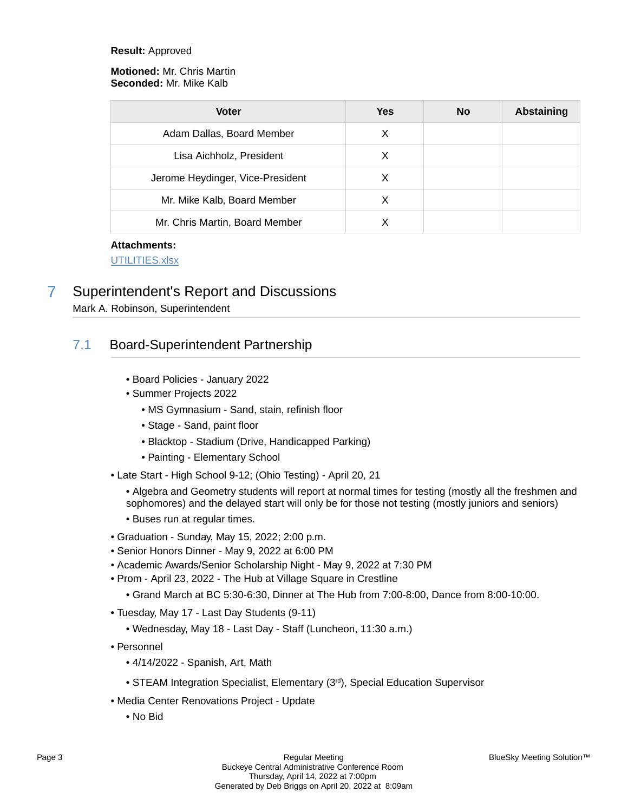#### **Result:** Approved

#### **Motioned:** Mr. Chris Martin **Seconded:** Mr. Mike Kalb

| <b>Voter</b>                     | <b>Yes</b> | <b>No</b> | <b>Abstaining</b> |
|----------------------------------|------------|-----------|-------------------|
| Adam Dallas, Board Member        | X          |           |                   |
| Lisa Aichholz, President         | х          |           |                   |
| Jerome Heydinger, Vice-President | X          |           |                   |
| Mr. Mike Kalb, Board Member      | х          |           |                   |
| Mr. Chris Martin, Board Member   |            |           |                   |

#### **Attachments:**

[UTILITIES.xlsx](https://bcbucks.blueskymeeting.com/meeting_groups/32/item_attachments/66017)

# 7 Superintendent's Report and Discussions

### Mark A. Robinson, Superintendent

### 7.1 Board-Superintendent Partnership

- Board Policies January 2022
- Summer Projects 2022
	- MS Gymnasium Sand, stain, refinish floor
	- Stage Sand, paint floor
	- Blacktop Stadium (Drive, Handicapped Parking)
	- Painting Elementary School
- Late Start High School 9-12; (Ohio Testing) April 20, 21
	- Algebra and Geometry students will report at normal times for testing (mostly all the freshmen and sophomores) and the delayed start will only be for those not testing (mostly juniors and seniors)
	- Buses run at regular times.
- Graduation Sunday, May 15, 2022; 2:00 p.m.
- Senior Honors Dinner May 9, 2022 at 6:00 PM
- Academic Awards/Senior Scholarship Night May 9, 2022 at 7:30 PM
- Prom April 23, 2022 The Hub at Village Square in Crestline
	- Grand March at BC 5:30-6:30, Dinner at The Hub from 7:00-8:00, Dance from 8:00-10:00.
- Tuesday, May 17 Last Day Students (9-11)
	- Wednesday, May 18 Last Day Staff (Luncheon, 11:30 a.m.)
- Personnel
	- 4/14/2022 Spanish, Art, Math
	- STEAM Integration Specialist, Elementary (3<sup>rd</sup>), Special Education Supervisor
- Media Center Renovations Project Update
	- No Bid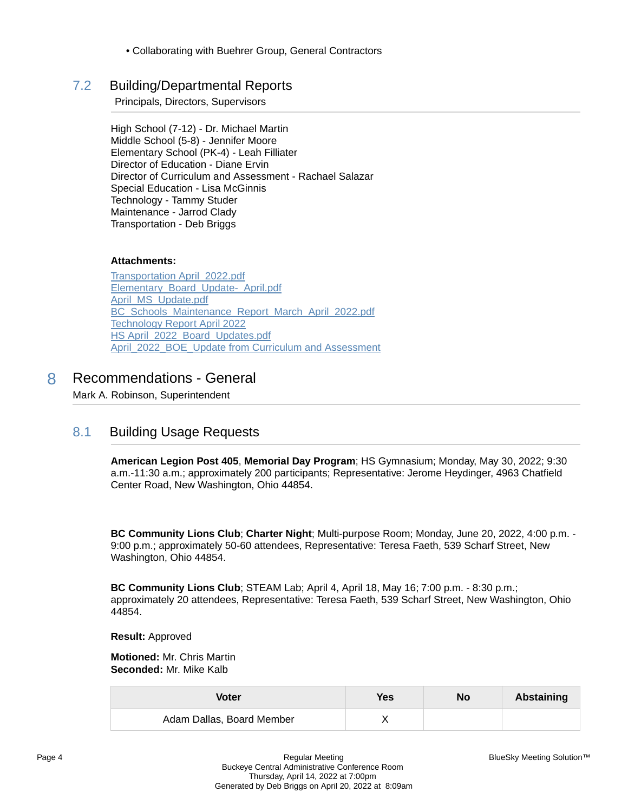• Collaborating with Buehrer Group, General Contractors

### 7.2 Building/Departmental Reports

Principals, Directors, Supervisors

High School (7-12) - Dr. Michael Martin Middle School (5-8) - Jennifer Moore Elementary School (PK-4) - Leah Filliater Director of Education - Diane Ervin Director of Curriculum and Assessment - Rachael Salazar Special Education - Lisa McGinnis Technology - Tammy Studer Maintenance - Jarrod Clady Transportation - Deb Briggs

#### **Attachments:**

[Transportation April\\_2022.pdf](https://bcbucks.blueskymeeting.com/meeting_groups/32/item_attachments/65702) [Elementary\\_Board\\_Update-\\_April.pdf](https://bcbucks.blueskymeeting.com/meeting_groups/32/item_attachments/65834) [April\\_MS\\_Update.pdf](https://bcbucks.blueskymeeting.com/meeting_groups/32/item_attachments/65948) [BC\\_Schools\\_Maintenance\\_Report\\_March\\_April\\_2022.pdf](https://bcbucks.blueskymeeting.com/meeting_groups/32/item_attachments/66022) [Technology Report April 2022](https://bcbucks.blueskymeeting.com/meeting_groups/32/item_attachments/66042) [HS April\\_2022\\_Board\\_Updates.pdf](https://bcbucks.blueskymeeting.com/meeting_groups/32/item_attachments/66088) [April\\_2022\\_BOE\\_Update from Curriculum and Assessment](https://bcbucks.blueskymeeting.com/meeting_groups/32/item_attachments/66089)

### 8 Recommendations - General

Mark A. Robinson, Superintendent

### 8.1 Building Usage Requests

**American Legion Post 405**, **Memorial Day Program**; HS Gymnasium; Monday, May 30, 2022; 9:30 a.m.-11:30 a.m.; approximately 200 participants; Representative: Jerome Heydinger, 4963 Chatfield Center Road, New Washington, Ohio 44854.

**BC Community Lions Club**; **Charter Night**; Multi-purpose Room; Monday, June 20, 2022, 4:00 p.m. - 9:00 p.m.; approximately 50-60 attendees, Representative: Teresa Faeth, 539 Scharf Street, New Washington, Ohio 44854.

**BC Community Lions Club**; STEAM Lab; April 4, April 18, May 16; 7:00 p.m. - 8:30 p.m.; approximately 20 attendees, Representative: Teresa Faeth, 539 Scharf Street, New Washington, Ohio 44854.

#### **Result:** Approved

**Motioned:** Mr. Chris Martin **Seconded:** Mr. Mike Kalb

| Voter                     | Yes | No | Abstaining |
|---------------------------|-----|----|------------|
| Adam Dallas, Board Member |     |    |            |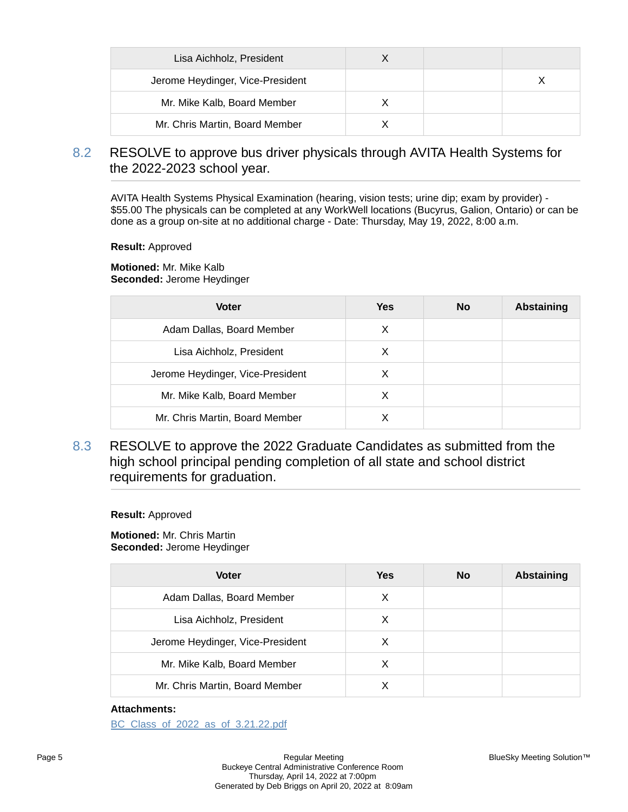| Lisa Aichholz, President         |  |  |
|----------------------------------|--|--|
| Jerome Heydinger, Vice-President |  |  |
| Mr. Mike Kalb, Board Member      |  |  |
| Mr. Chris Martin, Board Member   |  |  |

### 8.2 RESOLVE to approve bus driver physicals through AVITA Health Systems for the 2022-2023 school year.

AVITA Health Systems Physical Examination (hearing, vision tests; urine dip; exam by provider) - \$55.00 The physicals can be completed at any WorkWell locations (Bucyrus, Galion, Ontario) or can be done as a group on-site at no additional charge - Date: Thursday, May 19, 2022, 8:00 a.m.

**Result:** Approved

**Motioned:** Mr. Mike Kalb **Seconded:** Jerome Heydinger

| <b>Voter</b>                     | Yes | <b>No</b> | Abstaining |
|----------------------------------|-----|-----------|------------|
| Adam Dallas, Board Member        | X   |           |            |
| Lisa Aichholz, President         | X   |           |            |
| Jerome Heydinger, Vice-President | X   |           |            |
| Mr. Mike Kalb, Board Member      | х   |           |            |
| Mr. Chris Martin, Board Member   |     |           |            |

8.3 RESOLVE to approve the 2022 Graduate Candidates as submitted from the high school principal pending completion of all state and school district requirements for graduation.

#### **Result:** Approved

**Motioned:** Mr. Chris Martin **Seconded:** Jerome Heydinger

| <b>Voter</b>                     | <b>Yes</b> | <b>No</b> | <b>Abstaining</b> |
|----------------------------------|------------|-----------|-------------------|
| Adam Dallas, Board Member        | X          |           |                   |
| Lisa Aichholz, President         | X          |           |                   |
| Jerome Heydinger, Vice-President | X          |           |                   |
| Mr. Mike Kalb, Board Member      | X          |           |                   |
| Mr. Chris Martin, Board Member   |            |           |                   |

#### **Attachments:**

[BC\\_Class\\_of\\_2022\\_as\\_of\\_3.21.22.pdf](https://bcbucks.blueskymeeting.com/meeting_groups/32/item_attachments/65661)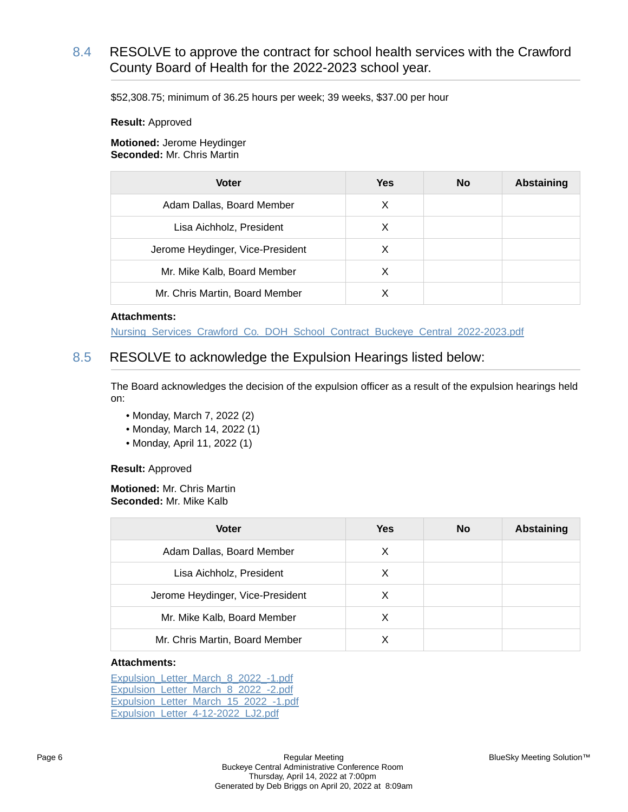### 8.4 RESOLVE to approve the contract for school health services with the Crawford County Board of Health for the 2022-2023 school year.

\$52,308.75; minimum of 36.25 hours per week; 39 weeks, \$37.00 per hour

**Result:** Approved

**Motioned:** Jerome Heydinger **Seconded:** Mr. Chris Martin

| <b>Voter</b>                     | <b>Yes</b> | No | <b>Abstaining</b> |
|----------------------------------|------------|----|-------------------|
| Adam Dallas, Board Member        | X          |    |                   |
| Lisa Aichholz, President         | X          |    |                   |
| Jerome Heydinger, Vice-President | X          |    |                   |
| Mr. Mike Kalb, Board Member      | х          |    |                   |
| Mr. Chris Martin, Board Member   | х          |    |                   |

#### **Attachments:**

[Nursing\\_Services\\_Crawford\\_Co.\\_DOH\\_School\\_Contract\\_Buckeye\\_Central\\_2022-2023.pdf](https://bcbucks.blueskymeeting.com/meeting_groups/32/item_attachments/65761)

### 8.5 RESOLVE to acknowledge the Expulsion Hearings listed below:

The Board acknowledges the decision of the expulsion officer as a result of the expulsion hearings held on:

- Monday, March 7, 2022 (2)
- Monday, March 14, 2022 (1)
- Monday, April 11, 2022 (1)

#### **Result:** Approved

**Motioned:** Mr. Chris Martin **Seconded:** Mr. Mike Kalb

| <b>Voter</b>                     | Yes | <b>No</b> | Abstaining |
|----------------------------------|-----|-----------|------------|
| Adam Dallas, Board Member        | X   |           |            |
| Lisa Aichholz, President         | X   |           |            |
| Jerome Heydinger, Vice-President | X   |           |            |
| Mr. Mike Kalb, Board Member      | X   |           |            |
| Mr. Chris Martin, Board Member   |     |           |            |

#### **Attachments:**

[Expulsion\\_Letter\\_March\\_8\\_2022\\_-1.pdf](https://bcbucks.blueskymeeting.com/meeting_groups/32/item_attachments/65631) [Expulsion\\_Letter\\_March\\_8\\_2022\\_-2.pdf](https://bcbucks.blueskymeeting.com/meeting_groups/32/item_attachments/65632) [Expulsion\\_Letter\\_March\\_15\\_2022\\_-1.pdf](https://bcbucks.blueskymeeting.com/meeting_groups/32/item_attachments/65633) [Expulsion\\_Letter\\_4-12-2022\\_LJ2.pdf](https://bcbucks.blueskymeeting.com/meeting_groups/32/item_attachments/66163)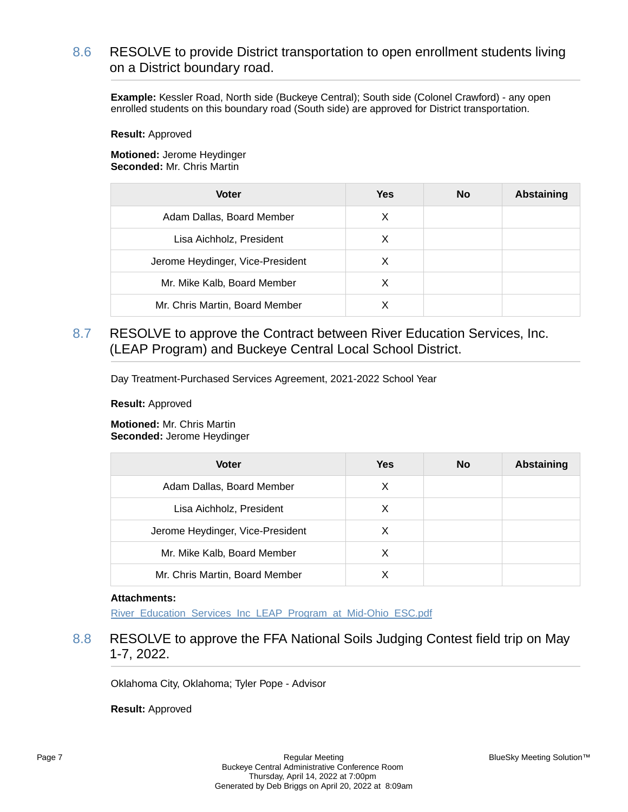### 8.6 RESOLVE to provide District transportation to open enrollment students living on a District boundary road.

**Example:** Kessler Road, North side (Buckeye Central); South side (Colonel Crawford) - any open enrolled students on this boundary road (South side) are approved for District transportation.

**Result:** Approved

**Motioned:** Jerome Heydinger **Seconded:** Mr. Chris Martin

| <b>Voter</b>                     | <b>Yes</b> | <b>No</b> | <b>Abstaining</b> |
|----------------------------------|------------|-----------|-------------------|
| Adam Dallas, Board Member        | X          |           |                   |
| Lisa Aichholz, President         | X          |           |                   |
| Jerome Heydinger, Vice-President | X          |           |                   |
| Mr. Mike Kalb, Board Member      | X          |           |                   |
| Mr. Chris Martin, Board Member   |            |           |                   |

### 8.7 RESOLVE to approve the Contract between River Education Services, Inc. (LEAP Program) and Buckeye Central Local School District.

Day Treatment-Purchased Services Agreement, 2021-2022 School Year

**Result:** Approved

**Motioned:** Mr. Chris Martin **Seconded:** Jerome Heydinger

| <b>Voter</b>                     | Yes | No | <b>Abstaining</b> |
|----------------------------------|-----|----|-------------------|
| Adam Dallas, Board Member        | X   |    |                   |
| Lisa Aichholz, President         | X   |    |                   |
| Jerome Heydinger, Vice-President | X   |    |                   |
| Mr. Mike Kalb, Board Member      | X   |    |                   |
| Mr. Chris Martin, Board Member   | X   |    |                   |

#### **Attachments:**

[River\\_Education\\_Services\\_Inc\\_LEAP\\_Program\\_at\\_Mid-Ohio\\_ESC.pdf](https://bcbucks.blueskymeeting.com/meeting_groups/32/item_attachments/65668)

### 8.8 RESOLVE to approve the FFA National Soils Judging Contest field trip on May 1-7, 2022.

Oklahoma City, Oklahoma; Tyler Pope - Advisor

**Result:** Approved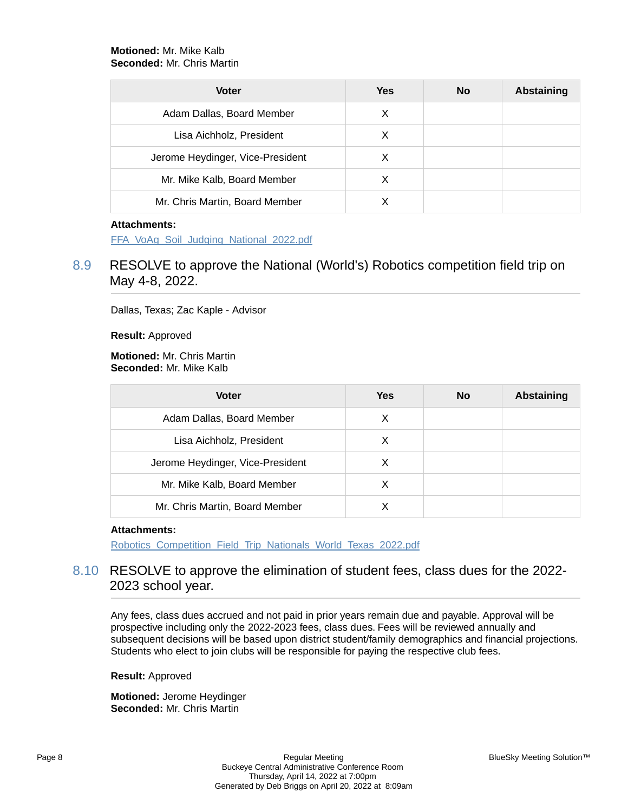#### **Motioned:** Mr. Mike Kalb **Seconded:** Mr. Chris Martin

| <b>Voter</b>                     | Yes | <b>No</b> | <b>Abstaining</b> |
|----------------------------------|-----|-----------|-------------------|
| Adam Dallas, Board Member        | X   |           |                   |
| Lisa Aichholz, President         | X   |           |                   |
| Jerome Heydinger, Vice-President | X   |           |                   |
| Mr. Mike Kalb, Board Member      | X   |           |                   |
| Mr. Chris Martin, Board Member   | X   |           |                   |

#### **Attachments:**

[FFA\\_VoAg\\_Soil\\_Judging\\_National\\_2022.pdf](https://bcbucks.blueskymeeting.com/meeting_groups/32/item_attachments/65743)

### 8.9 RESOLVE to approve the National (World's) Robotics competition field trip on May 4-8, 2022.

Dallas, Texas; Zac Kaple - Advisor

**Result:** Approved

**Motioned:** Mr. Chris Martin **Seconded:** Mr. Mike Kalb

| <b>Voter</b>                     | <b>Yes</b> | <b>No</b> | <b>Abstaining</b> |
|----------------------------------|------------|-----------|-------------------|
| Adam Dallas, Board Member        | X          |           |                   |
| Lisa Aichholz, President         | X          |           |                   |
| Jerome Heydinger, Vice-President | X          |           |                   |
| Mr. Mike Kalb, Board Member      | х          |           |                   |
| Mr. Chris Martin, Board Member   |            |           |                   |

### **Attachments:**

Robotics Competition Field Trip\_Nationals\_World\_Texas\_2022.pdf

### 8.10 RESOLVE to approve the elimination of student fees, class dues for the 2022- 2023 school year.

Any fees, class dues accrued and not paid in prior years remain due and payable. Approval will be prospective including only the 2022-2023 fees, class dues. Fees will be reviewed annually and subsequent decisions will be based upon district student/family demographics and financial projections. Students who elect to join clubs will be responsible for paying the respective club fees.

#### **Result:** Approved

**Motioned:** Jerome Heydinger **Seconded:** Mr. Chris Martin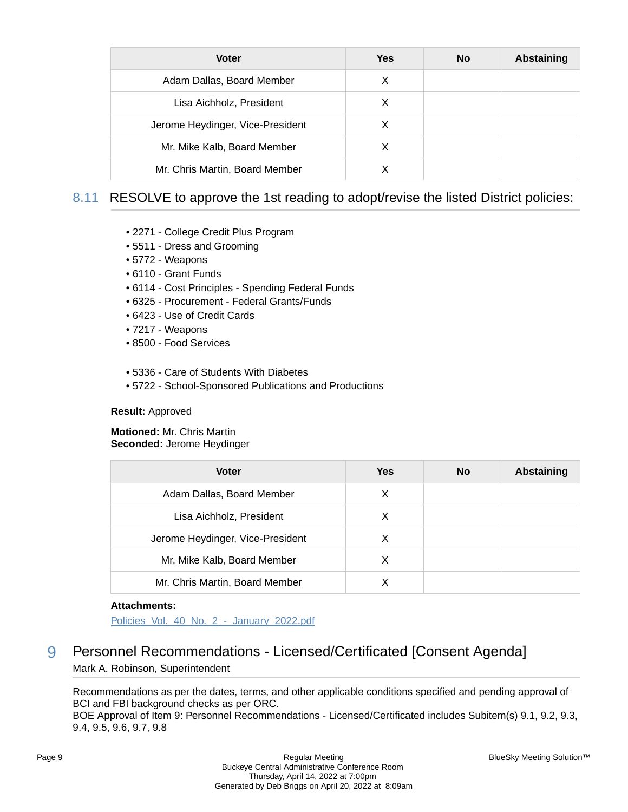| <b>Voter</b>                     | <b>Yes</b> | <b>No</b> | <b>Abstaining</b> |
|----------------------------------|------------|-----------|-------------------|
| Adam Dallas, Board Member        | X          |           |                   |
| Lisa Aichholz, President         | X          |           |                   |
| Jerome Heydinger, Vice-President | X          |           |                   |
| Mr. Mike Kalb, Board Member      | X          |           |                   |
| Mr. Chris Martin, Board Member   |            |           |                   |

### 8.11 RESOLVE to approve the 1st reading to adopt/revise the listed District policies:

- 2271 College Credit Plus Program
- 5511 Dress and Grooming
- 5772 Weapons
- 6110 Grant Funds
- 6114 Cost Principles Spending Federal Funds
- 6325 Procurement Federal Grants/Funds
- 6423 Use of Credit Cards
- 7217 Weapons
- 8500 Food Services
- 5336 Care of Students With Diabetes
- 5722 School-Sponsored Publications and Productions

#### **Result:** Approved

**Motioned:** Mr. Chris Martin **Seconded:** Jerome Heydinger

| <b>Voter</b>                     | Yes | <b>No</b> | <b>Abstaining</b> |
|----------------------------------|-----|-----------|-------------------|
| Adam Dallas, Board Member        | Х   |           |                   |
| Lisa Aichholz, President         | X   |           |                   |
| Jerome Heydinger, Vice-President | X   |           |                   |
| Mr. Mike Kalb, Board Member      | X   |           |                   |
| Mr. Chris Martin, Board Member   | X   |           |                   |

#### **Attachments:**

Policies\_Vol. 40\_No. 2 - January\_2022.pdf

### 9 Personnel Recommendations - Licensed/Certificated [Consent Agenda] Mark A. Robinson, Superintendent

Recommendations as per the dates, terms, and other applicable conditions specified and pending approval of BCI and FBI background checks as per ORC.

BOE Approval of Item 9: Personnel Recommendations - Licensed/Certificated includes Subitem(s) 9.1, 9.2, 9.3, 9.4, 9.5, 9.6, 9.7, 9.8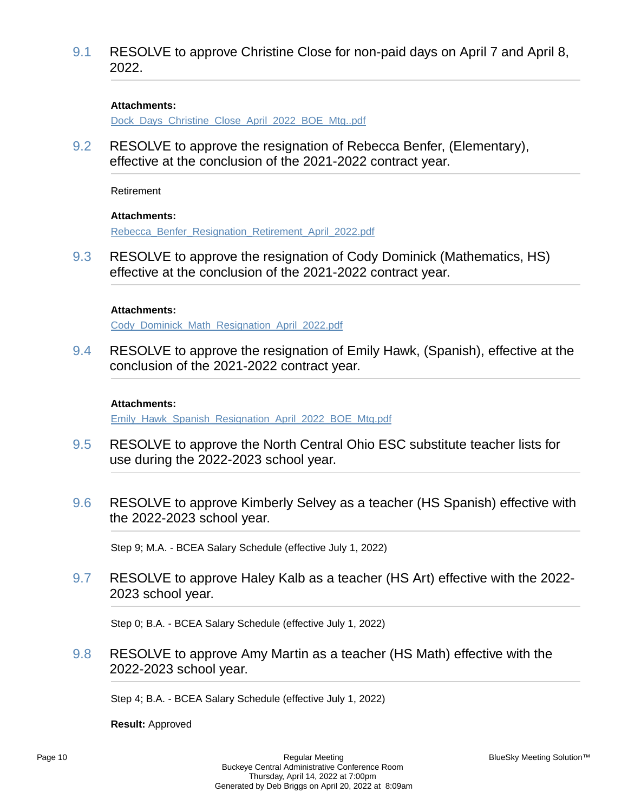9.1 RESOLVE to approve Christine Close for non-paid days on April 7 and April 8, 2022.

#### **Attachments:**

[Dock\\_Days\\_Christine\\_Close\\_April\\_2022\\_BOE\\_Mtg..pdf](https://bcbucks.blueskymeeting.com/meeting_groups/32/item_attachments/65601)

9.2 RESOLVE to approve the resignation of Rebecca Benfer, (Elementary), effective at the conclusion of the 2021-2022 contract year.

Retirement

**Attachments:**

[Rebecca\\_Benfer\\_Resignation\\_Retirement\\_April\\_2022.pdf](https://bcbucks.blueskymeeting.com/meeting_groups/32/item_attachments/66072)

9.3 RESOLVE to approve the resignation of Cody Dominick (Mathematics, HS) effective at the conclusion of the 2021-2022 contract year.

### **Attachments:**

[Cody\\_Dominick\\_Math\\_Resignation\\_April\\_2022.pdf](https://bcbucks.blueskymeeting.com/meeting_groups/32/item_attachments/65665)

9.4 RESOLVE to approve the resignation of Emily Hawk, (Spanish), effective at the conclusion of the 2021-2022 contract year.

#### **Attachments:**

[Emily\\_Hawk\\_Spanish\\_Resignation\\_April\\_2022\\_BOE\\_Mtg.pdf](https://bcbucks.blueskymeeting.com/meeting_groups/32/item_attachments/65747)

- 9.5 RESOLVE to approve the North Central Ohio ESC substitute teacher lists for use during the 2022-2023 school year.
- 9.6 RESOLVE to approve Kimberly Selvey as a teacher (HS Spanish) effective with the 2022-2023 school year.

Step 9; M.A. - BCEA Salary Schedule (effective July 1, 2022)

9.7 RESOLVE to approve Haley Kalb as a teacher (HS Art) effective with the 2022- 2023 school year.

Step 0; B.A. - BCEA Salary Schedule (effective July 1, 2022)

9.8 RESOLVE to approve Amy Martin as a teacher (HS Math) effective with the 2022-2023 school year.

Step 4; B.A. - BCEA Salary Schedule (effective July 1, 2022)

**Result:** Approved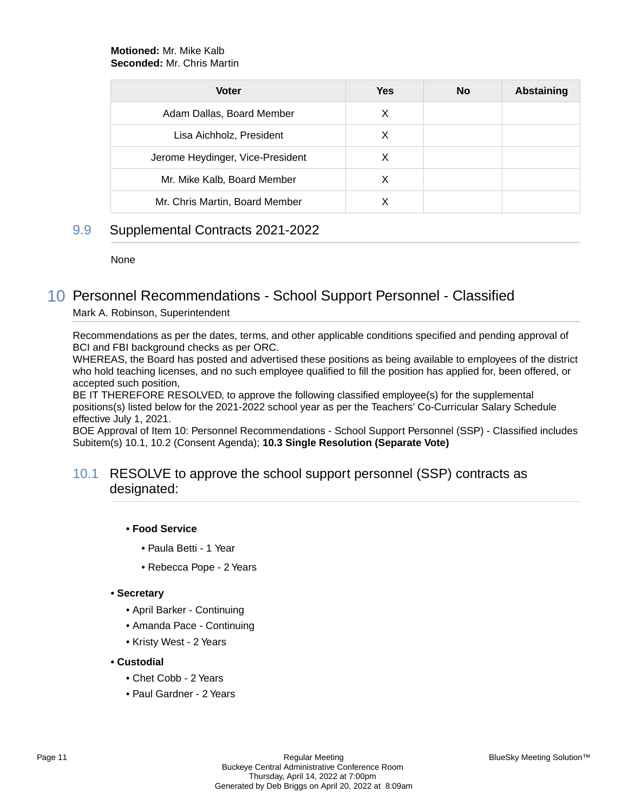#### **Motioned:** Mr. Mike Kalb **Seconded:** Mr. Chris Martin

| <b>Voter</b>                     | <b>Yes</b> | <b>No</b> | <b>Abstaining</b> |
|----------------------------------|------------|-----------|-------------------|
| Adam Dallas, Board Member        | X          |           |                   |
| Lisa Aichholz, President         | X          |           |                   |
| Jerome Heydinger, Vice-President | X          |           |                   |
| Mr. Mike Kalb, Board Member      | X          |           |                   |
| Mr. Chris Martin, Board Member   |            |           |                   |

### 9.9 Supplemental Contracts 2021-2022

None

# 10 Personnel Recommendations - School Support Personnel - Classified

### Mark A. Robinson, Superintendent

Recommendations as per the dates, terms, and other applicable conditions specified and pending approval of BCI and FBI background checks as per ORC.

WHEREAS, the Board has posted and advertised these positions as being available to employees of the district who hold teaching licenses, and no such employee qualified to fill the position has applied for, been offered, or accepted such position,

BE IT THEREFORE RESOLVED, to approve the following classified employee(s) for the supplemental positions(s) listed below for the 2021-2022 school year as per the Teachers' Co-Curricular Salary Schedule effective July 1, 2021.

BOE Approval of Item 10: Personnel Recommendations - School Support Personnel (SSP) - Classified includes Subitem(s) 10.1, 10.2 (Consent Agenda); **10.3 Single Resolution (Separate Vote)**

### 10.1 RESOLVE to approve the school support personnel (SSP) contracts as designated:

#### **• Food Service**

- Paula Betti 1 Year
- Rebecca Pope 2 Years

#### **• Secretary**

- April Barker Continuing
- Amanda Pace Continuing
- Kristy West 2 Years

#### **• Custodial**

- Chet Cobb 2 Years
- Paul Gardner 2 Years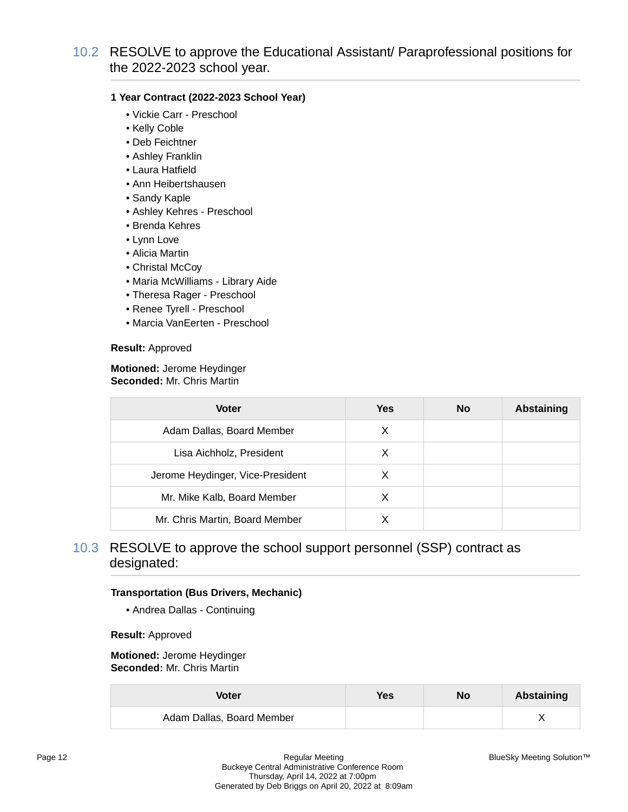### 10.2 RESOLVE to approve the Educational Assistant/ Paraprofessional positions for the 2022-2023 school year.

#### **1 Year Contract (2022-2023 School Year)**

- Vickie Carr Preschool
- Kelly Coble
- Deb Feichtner
- Ashley Franklin
- Laura Hatfield
- Ann Heibertshausen
- Sandy Kaple
- Ashley Kehres Preschool
- Brenda Kehres
- Lynn Love
- Alicia Martin
- Christal McCov
- Maria McWilliams Library Aide
- Theresa Rager Preschool
- Renee Tyrell Preschool
- Marcia VanEerten Preschool

**Result:** Approved

#### **Motioned:** Jerome Heydinger **Seconded:** Mr. Chris Martin

| <b>Voter</b>                     | <b>Yes</b> | <b>No</b> | <b>Abstaining</b> |
|----------------------------------|------------|-----------|-------------------|
| Adam Dallas, Board Member        | X          |           |                   |
| Lisa Aichholz, President         | X          |           |                   |
| Jerome Heydinger, Vice-President | х          |           |                   |
| Mr. Mike Kalb, Board Member      | X          |           |                   |
| Mr. Chris Martin, Board Member   |            |           |                   |

### 10.3 RESOLVE to approve the school support personnel (SSP) contract as designated:

### **Transportation (Bus Drivers, Mechanic)**

• Andrea Dallas - Continuing

**Result:** Approved

**Motioned:** Jerome Heydinger **Seconded:** Mr. Chris Martin

| Voter                     | Yes | No | Abstaining |
|---------------------------|-----|----|------------|
| Adam Dallas, Board Member |     |    |            |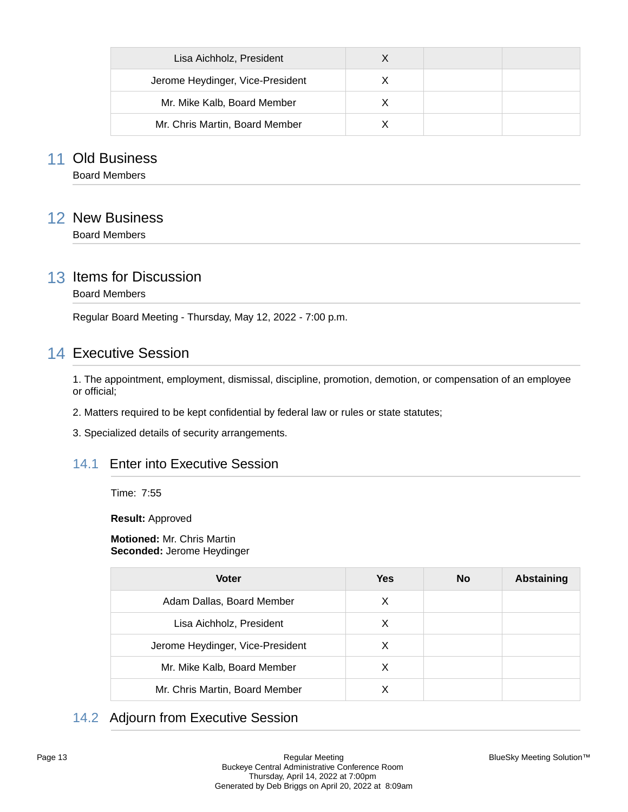| Lisa Aichholz, President         |  |  |
|----------------------------------|--|--|
| Jerome Heydinger, Vice-President |  |  |
| Mr. Mike Kalb, Board Member      |  |  |
| Mr. Chris Martin, Board Member   |  |  |

### 11 Old Business

Board Members

### 12 New Business

Board Members

### 13 Items for Discussion

Board Members

Regular Board Meeting - Thursday, May 12, 2022 - 7:00 p.m.

### 14 Executive Session

1. The appointment, employment, dismissal, discipline, promotion, demotion, or compensation of an employee or official;

2. Matters required to be kept confidential by federal law or rules or state statutes;

3. Specialized details of security arrangements.

### 14.1 Enter into Executive Session

Time: 7:55

**Result:** Approved

**Motioned:** Mr. Chris Martin **Seconded:** Jerome Heydinger

| <b>Voter</b>                     | <b>Yes</b> | <b>No</b> | <b>Abstaining</b> |
|----------------------------------|------------|-----------|-------------------|
| Adam Dallas, Board Member        | X          |           |                   |
| Lisa Aichholz, President         | X          |           |                   |
| Jerome Heydinger, Vice-President | х          |           |                   |
| Mr. Mike Kalb, Board Member      | X          |           |                   |
| Mr. Chris Martin, Board Member   |            |           |                   |

### 14.2 Adjourn from Executive Session